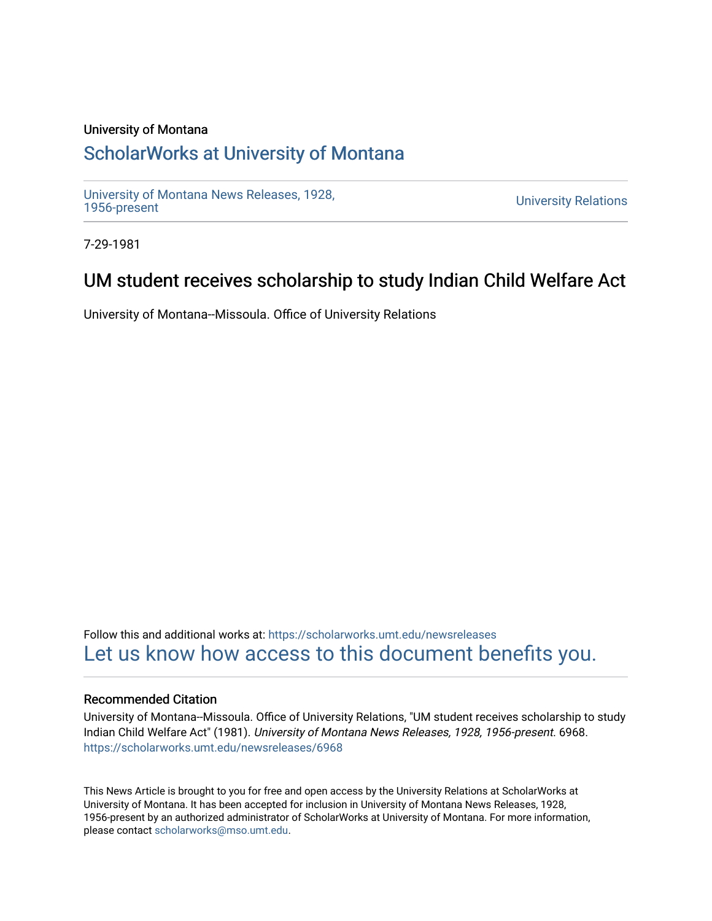### University of Montana

# [ScholarWorks at University of Montana](https://scholarworks.umt.edu/)

[University of Montana News Releases, 1928,](https://scholarworks.umt.edu/newsreleases) 

**University Relations** 

7-29-1981

## UM student receives scholarship to study Indian Child Welfare Act

University of Montana--Missoula. Office of University Relations

Follow this and additional works at: [https://scholarworks.umt.edu/newsreleases](https://scholarworks.umt.edu/newsreleases?utm_source=scholarworks.umt.edu%2Fnewsreleases%2F6968&utm_medium=PDF&utm_campaign=PDFCoverPages) [Let us know how access to this document benefits you.](https://goo.gl/forms/s2rGfXOLzz71qgsB2) 

#### Recommended Citation

University of Montana--Missoula. Office of University Relations, "UM student receives scholarship to study Indian Child Welfare Act" (1981). University of Montana News Releases, 1928, 1956-present. 6968. [https://scholarworks.umt.edu/newsreleases/6968](https://scholarworks.umt.edu/newsreleases/6968?utm_source=scholarworks.umt.edu%2Fnewsreleases%2F6968&utm_medium=PDF&utm_campaign=PDFCoverPages) 

This News Article is brought to you for free and open access by the University Relations at ScholarWorks at University of Montana. It has been accepted for inclusion in University of Montana News Releases, 1928, 1956-present by an authorized administrator of ScholarWorks at University of Montana. For more information, please contact [scholarworks@mso.umt.edu.](mailto:scholarworks@mso.umt.edu)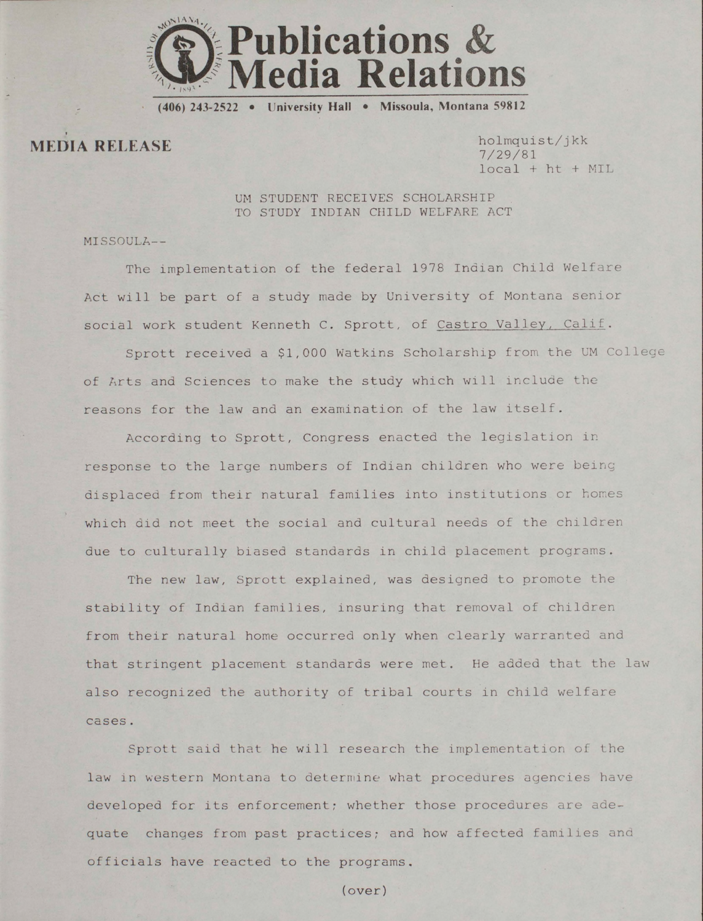

**(406) 243-2522 • University Hall • Missoula, Montana 59812**

MEDIA RELEASE **holmquist/jkk**

**7/29/81 local + ht + MIL**

**UM STUDENT RECEIVES SCHOLARSHIP TO STUDY INDIAN CHILD WELFARE ACT**

**MISSOULA--**

**The implementation of the federal 1978 Indian Child Welfare Act will be part of a study made by University of Montana senior** social work student Kenneth C. Sprott, of Castro Valley, Calif.

**Sprott received a \$1,000 Watkins Scholarship from the UM College of Arts and Sciences to make the study which will include the reasons for the law and an examination of the law itself.**

**According to Sprott, Congress enacted the legislation in response to the large numbers of Indian children who were being displaced from their natural families into institutions or homes which did not meet the social and cultural needs of the children due to culturally biased standards in child placement programs.**

**The new law, Sprott explained, was designed to promote the stability of Indian families, insuring that removal of children from their natural home occurred only when clearly warranted and that stringent placement standards were met. He added that the law also recognized the authority of tribal courts in child welfare cases.**

**Sprott said that he will research the implementation of the law in western Montana to determine what procedures agencies have developed for its enforcement; whether those procedures are adequate changes from past practices; and how affected families and officials have reacted to the programs.**

**(over)**